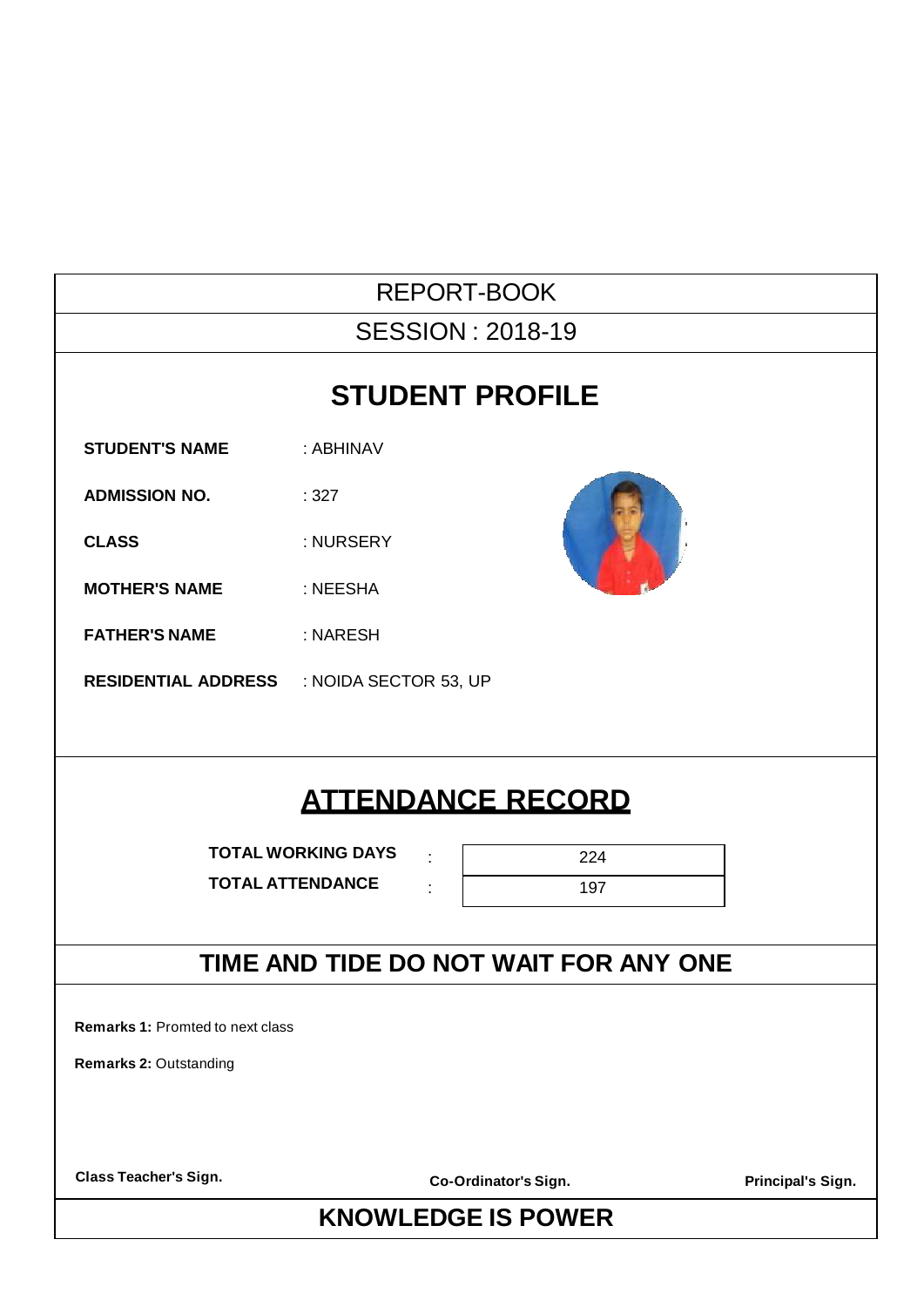| <b>REPORT-BOOK</b>                                   |                                       |    |     |                   |  |  |  |
|------------------------------------------------------|---------------------------------------|----|-----|-------------------|--|--|--|
| <b>SESSION: 2018-19</b>                              |                                       |    |     |                   |  |  |  |
| <b>STUDENT PROFILE</b>                               |                                       |    |     |                   |  |  |  |
| <b>STUDENT'S NAME</b>                                | : ABHINAV                             |    |     |                   |  |  |  |
| <b>ADMISSION NO.</b>                                 | :327                                  |    |     |                   |  |  |  |
| <b>CLASS</b>                                         | : NURSERY                             |    |     |                   |  |  |  |
| <b>MOTHER'S NAME</b>                                 | : NEESHA                              |    |     |                   |  |  |  |
| <b>FATHER'S NAME</b>                                 | : NARESH                              |    |     |                   |  |  |  |
| <b>RESIDENTIAL ADDRESS : NOIDA SECTOR 53, UP</b>     |                                       |    |     |                   |  |  |  |
|                                                      |                                       |    |     |                   |  |  |  |
|                                                      | <b>ATTENDANCE RECORD</b>              |    |     |                   |  |  |  |
|                                                      | <b>TOTAL WORKING DAYS</b>             | ÷  | 224 |                   |  |  |  |
| <b>TOTAL ATTENDANCE</b>                              |                                       | t. | 197 |                   |  |  |  |
|                                                      | TIME AND TIDE DO NOT WAIT FOR ANY ONE |    |     |                   |  |  |  |
| Remarks 1: Promted to next class                     |                                       |    |     |                   |  |  |  |
| Remarks 2: Outstanding                               |                                       |    |     |                   |  |  |  |
|                                                      |                                       |    |     |                   |  |  |  |
|                                                      |                                       |    |     |                   |  |  |  |
| <b>Class Teacher's Sign.</b><br>Co-Ordinator's Sign. |                                       |    |     | Principal's Sign. |  |  |  |
| <b>KNOWLEDGE IS POWER</b>                            |                                       |    |     |                   |  |  |  |